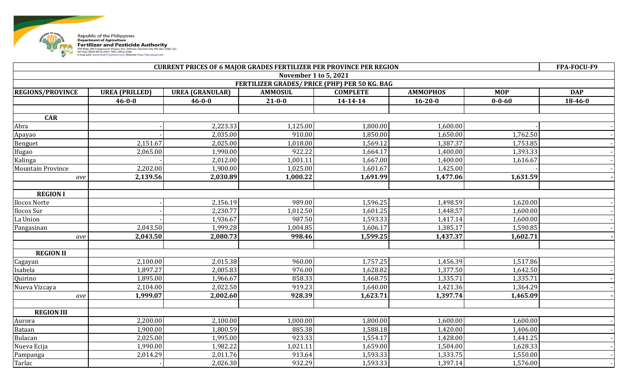

| <b>CURRENT PRICES OF 6 MAJOR GRADES FERTILIZER PER PROVINCE PER REGION</b> |                       |                        |                                               |                      |                 |              | FPA-FOCU-F9 |  |
|----------------------------------------------------------------------------|-----------------------|------------------------|-----------------------------------------------|----------------------|-----------------|--------------|-------------|--|
|                                                                            |                       |                        | November 1 to 5, 2021                         |                      |                 |              |             |  |
|                                                                            |                       |                        | FERTILIZER GRADES/ PRICE (PHP) PER 50 KG. BAG |                      |                 |              |             |  |
| <b>REGIONS/PROVINCE</b>                                                    | <b>UREA (PRILLED)</b> | <b>UREA (GRANULAR)</b> | <b>AMMOSUL</b>                                | <b>COMPLETE</b>      | <b>AMMOPHOS</b> | <b>MOP</b>   | <b>DAP</b>  |  |
|                                                                            | $46 - 0 - 0$          | $46 - 0 - 0$           | $21 - 0 - 0$                                  | 14-14-14             | $16 - 20 - 0$   | $0 - 0 - 60$ | 18-46-0     |  |
|                                                                            |                       |                        |                                               |                      |                 |              |             |  |
| <b>CAR</b>                                                                 |                       |                        |                                               |                      |                 |              |             |  |
| Abra                                                                       |                       | 2,223.33               | 1,125.00                                      | 1,800.00             | 1,600.00        |              |             |  |
| Apayao                                                                     |                       | 2,035.00               | 910.00                                        | 1,850.00             | 1,650.00        | 1,762.50     |             |  |
| Benguet                                                                    | 2,151.67              | 2,025.00               | 1,018.00                                      | 1,569.12             | 1,387.37        | 1,753.85     |             |  |
| Ifugao                                                                     | 2,065.00              | 1,990.00               | 922.22                                        | 1,664.17             | 1,400.00        | 1,393.33     |             |  |
| Kalinga                                                                    |                       | 2,012.00               | 1,001.11                                      | 1,667.00             | 1,400.00        | 1,616.67     |             |  |
| <b>Mountain Province</b>                                                   | 2,202.00              | 1,900.00               | 1,025.00                                      | 1,601.67             | 1,425.00        |              |             |  |
| ave                                                                        | 2,139.56              | 2,030.89               | 1,000.22                                      | 1,691.99             | 1,477.06        | 1,631.59     |             |  |
|                                                                            |                       |                        |                                               |                      |                 |              |             |  |
| <b>REGION I</b>                                                            |                       |                        |                                               |                      |                 |              |             |  |
| <b>Ilocos Norte</b>                                                        |                       | 2,156.19               | 989.00                                        | 1,596.25             | 1,498.59        | 1,620.00     |             |  |
| Ilocos Sur                                                                 |                       | 2,230.77               | 1,012.50                                      | 1,601.25             | 1,448.57        | 1,600.00     |             |  |
| La Union                                                                   |                       | 1,936.67               | 987.50                                        | 1,593.33             | 1,417.14        | 1,600.00     |             |  |
| Pangasinan                                                                 | 2,043.50              | 1,999.28               | 1,004.85                                      | 1,606.17             | 1,385.17        | 1,590.85     |             |  |
| ave                                                                        | 2,043.50              | 2,080.73               | 998.46                                        | 1,599.25             | 1,437.37        | 1,602.71     |             |  |
| <b>REGION II</b>                                                           |                       |                        |                                               |                      |                 |              |             |  |
|                                                                            | 2,100.00              |                        | 960.00                                        |                      | 1,456.39        | 1,517.86     |             |  |
| Cagayan                                                                    | 1,897.27              | 2,015.38               |                                               | 1,757.25<br>1,628.82 | 1,377.50        | 1,642.50     |             |  |
| Isabela                                                                    |                       | 2,005.83               | 976.00                                        |                      |                 |              |             |  |
| Quirino                                                                    | 1,895.00              | 1,966.67               | 858.33                                        | 1,468.75             | 1,335.71        | 1,335.71     |             |  |
| Nueva Vizcaya                                                              | 2,104.00              | 2,022.50               | 919.23                                        | 1,640.00             | 1,421.36        | 1,364.29     |             |  |
| ave                                                                        | 1,999.07              | 2,002.60               | 928.39                                        | 1,623.71             | 1,397.74        | 1,465.09     |             |  |
| <b>REGION III</b>                                                          |                       |                        |                                               |                      |                 |              |             |  |
| Aurora                                                                     | 2,200.00              | 2,100.00               | 1,000.00                                      | 1,800.00             | 1,600.00        | 1,600.00     |             |  |
| Bataan                                                                     | 1,900.00              | 1,800.59               | 885.38                                        | 1,588.18             | 1,420.00        | 1,406.00     |             |  |
| Bulacan                                                                    | 2,025.00              | 1,995.00               | 923.33                                        | 1,554.17             | 1,428.00        | 1,441.25     |             |  |
| Nueva Ecija                                                                | 1,990.00              | 1,982.22               | 1,021.11                                      | 1,659.00             | 1,504.00        | 1,628.33     |             |  |
| Pampanga                                                                   | 2,014.29              | 2,011.76               | 913.64                                        | 1,593.33             | 1,333.75        | 1,550.00     |             |  |
| Tarlac                                                                     |                       | 2,026.30               | 932.29                                        | 1,593.33             | 1,397.14        | 1,576.00     |             |  |
|                                                                            |                       |                        |                                               |                      |                 |              |             |  |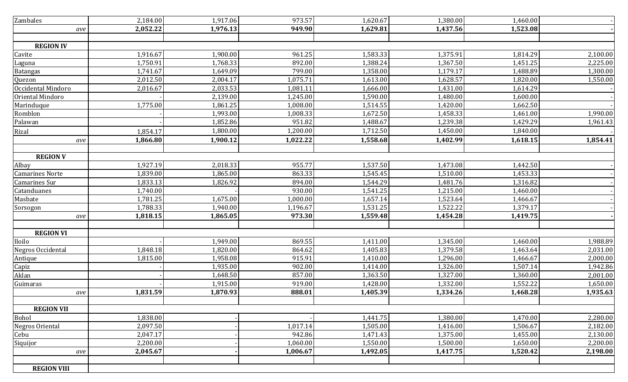| Zambales               | 2,184.00 | 1,917.06 | 973.57   | 1,620.67 | 1,380.00 | 1,460.00 |          |
|------------------------|----------|----------|----------|----------|----------|----------|----------|
| ave                    | 2,052.22 | 1,976.13 | 949.90   | 1,629.81 | 1,437.56 | 1,523.08 |          |
|                        |          |          |          |          |          |          |          |
| <b>REGION IV</b>       |          |          |          |          |          |          |          |
| Cavite                 | 1,916.67 | 1,900.00 | 961.25   | 1,583.33 | 1,375.91 | 1,814.29 | 2,100.00 |
| Laguna                 | 1,750.91 | 1,768.33 | 892.00   | 1,388.24 | 1,367.50 | 1,451.25 | 2,225.00 |
| <b>Batangas</b>        | 1,741.67 | 1,649.09 | 799.00   | 1,358.00 | 1,179.17 | 1,488.89 | 1,300.00 |
| Quezon                 | 2,012.50 | 2,004.17 | 1,075.71 | 1,613.00 | 1,628.57 | 1,820.00 | 1,550.00 |
| Occidental Mindoro     | 2,016.67 | 2,033.53 | 1,081.11 | 1,666.00 | 1,431.00 | 1,614.29 |          |
| Oriental Mindoro       |          | 2,139.00 | 1,245.00 | 1,590.00 | 1,480.00 | 1,600.00 |          |
| Marinduque             | 1,775.00 | 1,861.25 | 1,008.00 | 1,514.55 | 1,420.00 | 1,662.50 |          |
| Romblon                |          | 1,993.00 | 1,008.33 | 1,672.50 | 1,458.33 | 1,461.00 | 1,990.00 |
| Palawan                |          | 1,852.86 | 951.82   | 1,488.67 | 1,239.38 | 1,429.29 | 1,961.43 |
| Rizal                  | 1,854.17 | 1,800.00 | 1,200.00 | 1,712.50 | 1,450.00 | 1,840.00 |          |
| ave                    | 1,866.80 | 1,900.12 | 1,022.22 | 1,558.68 | 1,402.99 | 1,618.15 | 1,854.41 |
|                        |          |          |          |          |          |          |          |
| <b>REGION V</b>        |          |          |          |          |          |          |          |
| Albay                  | 1,927.19 | 2,018.33 | 955.77   | 1,537.50 | 1,473.08 | 1,442.50 |          |
| <b>Camarines Norte</b> | 1,839.00 | 1,865.00 | 863.33   | 1,545.45 | 1,510.00 | 1,453.33 |          |
| Camarines Sur          | 1,833.13 | 1,826.92 | 894.00   | 1,544.29 | 1,481.76 | 1,316.82 |          |
| Catanduanes            | 1,740.00 |          | 930.00   | 1,541.25 | 1,215.00 | 1,460.00 |          |
| Masbate                | 1,781.25 | 1,675.00 | 1,000.00 | 1,657.14 | 1,523.64 | 1,466.67 |          |
| Sorsogon               | 1,788.33 | 1,940.00 | 1,196.67 | 1,531.25 | 1,522.22 | 1,379.17 |          |
| ave                    | 1,818.15 | 1,865.05 | 973.30   | 1,559.48 | 1,454.28 | 1,419.75 |          |
|                        |          |          |          |          |          |          |          |
| <b>REGION VI</b>       |          |          |          |          |          |          |          |
| Iloilo                 |          | 1,949.00 | 869.55   | 1,411.00 | 1,345.00 | 1,460.00 | 1,988.89 |
| Negros Occidental      | 1,848.18 | 1,820.00 | 864.62   | 1,405.83 | 1,379.58 | 1,463.64 | 2,031.00 |
| Antique                | 1,815.00 | 1,958.08 | 915.91   | 1,410.00 | 1,296.00 | 1,466.67 | 2,000.00 |
| Capiz                  |          | 1,935.00 | 902.00   | 1,414.00 | 1,326.00 | 1,507.14 | 1,942.86 |
| Aklan                  |          | 1,648.50 | 857.00   | 1,363.50 | 1,327.00 | 1,360.00 | 2,001.00 |
| Guimaras               |          | 1,915.00 | 919.00   | 1,428.00 | 1,332.00 | 1,552.22 | 1,650.00 |
| ave                    | 1,831.59 | 1,870.93 | 888.01   | 1,405.39 | 1,334.26 | 1,468.28 | 1,935.63 |
|                        |          |          |          |          |          |          |          |
| <b>REGION VII</b>      |          |          |          |          |          |          |          |
| Bohol                  | 1,838.00 |          |          | 1,441.75 | 1,380.00 | 1,470.00 | 2,280.00 |
| Negros Oriental        | 2,097.50 |          | 1,017.14 | 1,505.00 | 1,416.00 | 1,506.67 | 2,182.00 |
| Cebu                   | 2,047.17 |          | 942.86   | 1,471.43 | 1,375.00 | 1,455.00 | 2,130.00 |
| Siquijor               | 2,200.00 |          | 1,060.00 | 1,550.00 | 1,500.00 | 1,650.00 | 2,200.00 |
| ave                    | 2,045.67 |          | 1,006.67 | 1,492.05 | 1,417.75 | 1,520.42 | 2,198.00 |
|                        |          |          |          |          |          |          |          |
| <b>REGION VIII</b>     |          |          |          |          |          |          |          |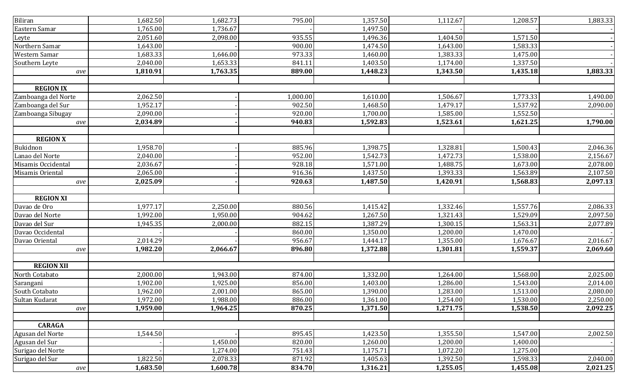| Biliran             | 1,682.50 | 1,682.73 | 795.00   | 1,357.50 | 1,112.67 | 1,208.57 | 1,883.33 |
|---------------------|----------|----------|----------|----------|----------|----------|----------|
| Eastern Samar       | 1,765.00 | 1,736.67 |          | 1,497.50 |          |          |          |
| Leyte               | 2,051.60 | 2,098.00 | 935.55   | 1,496.36 | 1,404.50 | 1,571.50 |          |
| Northern Samar      | 1,643.00 |          | 900.00   | 1,474.50 | 1,643.00 | 1,583.33 |          |
| Western Samar       | 1,683.33 | 1,646.00 | 973.33   | 1,460.00 | 1,383.33 | 1,475.00 |          |
| Southern Leyte      | 2,040.00 | 1,653.33 | 841.11   | 1,403.50 | 1,174.00 | 1,337.50 |          |
| ave                 | 1,810.91 | 1,763.35 | 889.00   | 1,448.23 | 1,343.50 | 1,435.18 | 1,883.33 |
| <b>REGION IX</b>    |          |          |          |          |          |          |          |
| Zamboanga del Norte | 2,062.50 |          | 1,000.00 | 1,610.00 | 1,506.67 | 1,773.33 | 1,490.00 |
| Zamboanga del Sur   | 1,952.17 |          | 902.50   | 1,468.50 | 1,479.17 | 1,537.92 | 2,090.00 |
| Zamboanga Sibugay   | 2,090.00 |          | 920.00   | 1,700.00 | 1,585.00 | 1,552.50 |          |
| ave                 | 2,034.89 |          | 940.83   | 1,592.83 | 1,523.61 | 1,621.25 | 1,790.00 |
| <b>REGION X</b>     |          |          |          |          |          |          |          |
| Bukidnon            | 1,958.70 |          | 885.96   | 1,398.75 | 1,328.81 | 1,500.43 | 2,046.36 |
| Lanao del Norte     | 2,040.00 |          | 952.00   | 1,542.73 | 1,472.73 | 1,538.00 | 2,156.67 |
| Misamis Occidental  | 2,036.67 |          | 928.18   | 1,571.00 | 1,488.75 | 1,673.00 | 2,078.00 |
| Misamis Oriental    | 2,065.00 |          | 916.36   | 1,437.50 | 1,393.33 | 1,563.89 | 2,107.50 |
| ave                 | 2,025.09 |          | 920.63   | 1,487.50 | 1,420.91 | 1,568.83 | 2,097.13 |
| <b>REGION XI</b>    |          |          |          |          |          |          |          |
| Davao de Oro        | 1,977.17 | 2,250.00 | 880.56   | 1,415.42 | 1,332.46 | 1,557.76 | 2,086.33 |
| Davao del Norte     | 1,992.00 | 1,950.00 | 904.62   | 1,267.50 | 1,321.43 | 1,529.09 | 2,097.50 |
| Davao del Sur       | 1,945.35 | 2,000.00 | 882.15   | 1,387.29 | 1,300.15 | 1,563.31 | 2,077.89 |
| Davao Occidental    |          |          | 860.00   | 1,350.00 | 1,200.00 | 1,470.00 |          |
| Davao Oriental      | 2,014.29 |          | 956.67   | 1,444.17 | 1,355.00 | 1,676.67 | 2,016.67 |
| ave                 | 1,982.20 | 2,066.67 | 896.80   | 1,372.88 | 1,301.81 | 1,559.37 | 2,069.60 |
|                     |          |          |          |          |          |          |          |
| <b>REGION XII</b>   |          |          |          |          |          |          |          |
| North Cotabato      | 2,000.00 | 1,943.00 | 874.00   | 1,332.00 | 1,264.00 | 1,568.00 | 2,025.00 |
| Sarangani           | 1,902.00 | 1,925.00 | 856.00   | 1,403.00 | 1,286.00 | 1,543.00 | 2,014.00 |
| South Cotabato      | 1,962.00 | 2,001.00 | 865.00   | 1,390.00 | 1,283.00 | 1,513.00 | 2,080.00 |
| Sultan Kudarat      | 1,972.00 | 1,988.00 | 886.00   | 1,361.00 | 1,254.00 | 1,530.00 | 2,250.00 |
| ave                 | 1,959.00 | 1,964.25 | 870.25   | 1,371.50 | 1,271.75 | 1,538.50 | 2,092.25 |
| <b>CARAGA</b>       |          |          |          |          |          |          |          |
| Agusan del Norte    | 1,544.50 |          | 895.45   | 1,423.50 | 1,355.50 | 1,547.00 | 2,002.50 |
| Agusan del Sur      |          | 1,450.00 | 820.00   | 1,260.00 | 1,200.00 | 1,400.00 |          |
| Surigao del Norte   |          | 1,274.00 | 751.43   | 1,175.71 | 1,072.20 | 1,275.00 |          |
| Surigao del Sur     | 1,822.50 | 2,078.33 | 871.92   | 1,405.63 | 1,392.50 | 1,598.33 | 2,040.00 |
| $\emph{ave}$        | 1,683.50 | 1,600.78 | 834.70   | 1,316.21 | 1,255.05 | 1,455.08 | 2,021.25 |